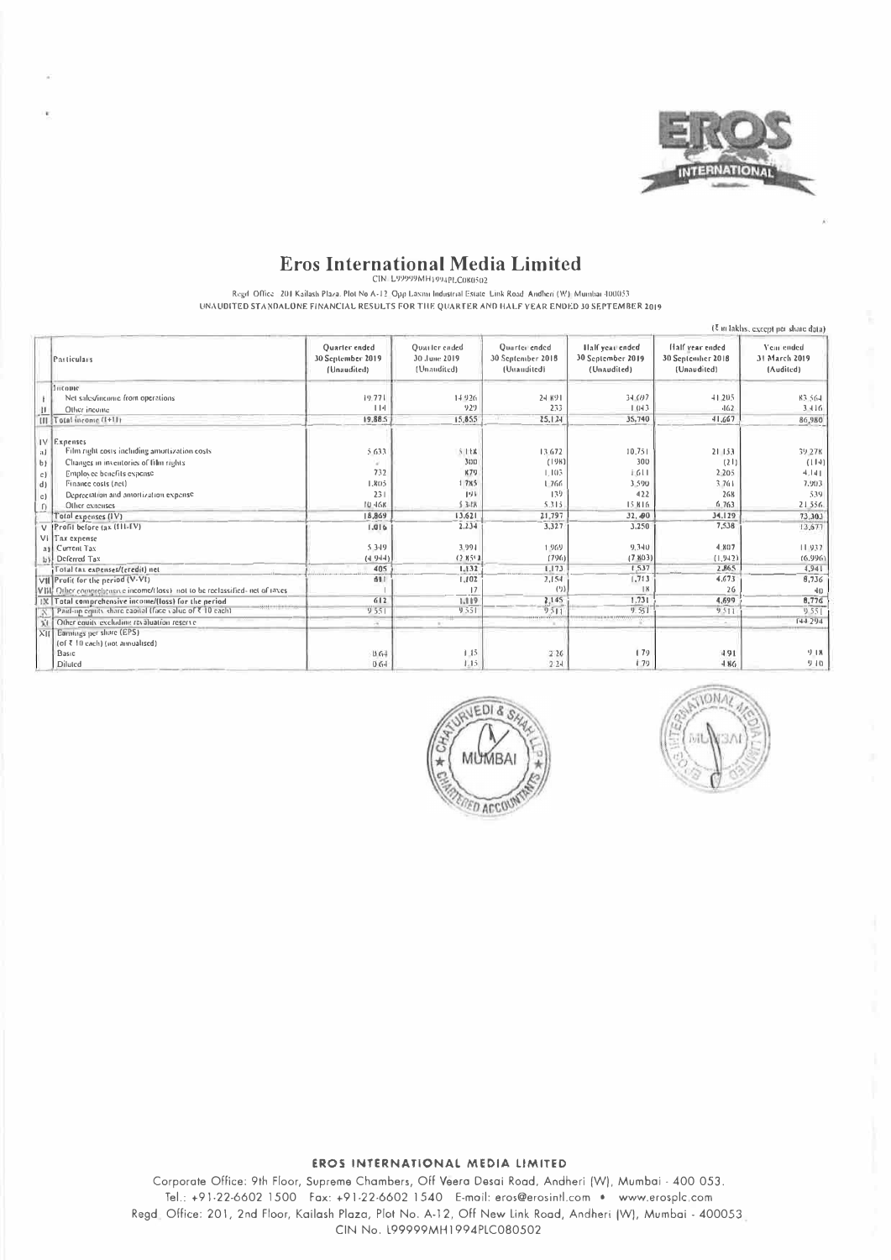

## **Eros International Media Limited**

CIN-L99999MH1994PLC080502

Regd. Office 201 Kailash Plaza. Plot No A-12. Opp Laxini Industrial Estate Link Road. Andheri (W) Mumbai 400053 UNAUDITED STANDALONE FINANCIAL RESULTS FOR THE QUARTER AND HALF YEAR ENDED 30 SEPTEMBER 2019

|                |                                                                              |                                                   |                                              |                                                   |                                                     |                                                     | (7 in lakhs, except per share data)      |
|----------------|------------------------------------------------------------------------------|---------------------------------------------------|----------------------------------------------|---------------------------------------------------|-----------------------------------------------------|-----------------------------------------------------|------------------------------------------|
|                | Particulars                                                                  | Quarter ended<br>30 September 2019<br>(Unaudited) | Ouarter ended<br>30 June 2019<br>(Unaudited) | Quarter ended<br>30 Sentember 2018<br>(Unaudited) | Half year ended<br>30 September 2019<br>(Unaudited) | Half year ended<br>30 September 2018<br>(Unaudited) | Year ended<br>31 March 2019<br>(Audited) |
|                | <b>Jucopic</b>                                                               |                                                   |                                              |                                                   |                                                     |                                                     |                                          |
|                | Net sales/income from operations                                             | 19.771                                            | 14926                                        | 24 891                                            | 34.097                                              | $-11,205$                                           | 83,564                                   |
| w              | Other income                                                                 | 114                                               | 929                                          | 233                                               | 1.043                                               | $-162$                                              | 3.416                                    |
|                | III Total income (1+11)                                                      | 19,88.5                                           | 15,855                                       | 25,124                                            | 35,740                                              | 41,667                                              | 86,980                                   |
| a)             | IV Expenses<br>Film right costs including amortization costs                 | 5.633                                             | 5118                                         | 13.672                                            | 10.751                                              | 21 153                                              | 39.27K                                   |
| b              | Changes in inventories of film rights                                        |                                                   | 300                                          | (198)                                             | 300                                                 | (21)                                                | (114)                                    |
| c)             | Employee benefits expense                                                    | 732                                               | K70                                          | 1.103                                             | 1611                                                | $2 - 205$                                           | 4,141                                    |
| d)             | Finance costs (net)                                                          | 1,805                                             | 1785                                         | 1766                                              | 3.590                                               | 3.761                                               | 7.903                                    |
| c)             | Depreciation and amortization expense.                                       | 231                                               | 193                                          | 139                                               | 422                                                 | 268                                                 | 539                                      |
| $\Gamma$       | Other expenses                                                               | 10.46k                                            | \$3.18                                       | 5.315                                             | 15.816                                              | 6.763                                               | 21556                                    |
|                | Total expenses (IV)                                                          | 18,869                                            | 13.621                                       | 21,797                                            | 32.490                                              | 34.129                                              | 73,303                                   |
|                | V  Profil before (ax (III-IV)                                                | 1.916                                             | 2,234                                        | 3,327                                             | 3,250                                               | 7,538                                               | 13,677                                   |
|                | VI Tax expense                                                               |                                                   |                                              |                                                   |                                                     |                                                     |                                          |
|                | ail Current Tax                                                              | 5.349                                             | 3.991                                        | 1.969                                             | 9,340                                               | 4.807                                               | 11937                                    |
| b <sub>i</sub> | Deferred Tax                                                                 | (4.944)                                           | (2851)                                       | (796)                                             | (7.803)                                             | (1, 942)                                            | (6.996)                                  |
|                | Total (ax expenses/(credit) net                                              | 405                                               | 1.132                                        | 1.173                                             | 1.537                                               | 2.865                                               | 4,941                                    |
|                | VII Profit for the period (V-VI)                                             | 681                                               | 1,102                                        | 2,154                                             | 1,713                                               | 4.673                                               | 8,736                                    |
|                | VIII: Other comprehensive income/tloss) not to be reclassified- net of raxes |                                                   | 17                                           | (2)                                               | 18                                                  | 26                                                  | 40                                       |
|                | IX Total comprehensive income/(loss) for the period                          | 612                                               | 1,119                                        | 2,145                                             | 1.731                                               | 4.699                                               | 8,776                                    |
|                | Paid-up equity share eapital (face value of ₹ 10 each).                      | 9551                                              | 9551                                         | 9.511                                             | 9.551                                               | 9511                                                | 9551                                     |
|                | Other equity excluding revaluation reserve                                   | ×                                                 |                                              |                                                   |                                                     |                                                     | F44 294                                  |
| $\times$ II    | Earnings per share (EPS)<br>(of ₹ 10 each) (not annualised)<br>Basic         | 0.64                                              | 1.15                                         | 226                                               | 179                                                 | 491                                                 | 9.18                                     |
|                | Diluted                                                                      | 0.64                                              | 1.15                                         | 2.24                                              | 179                                                 | $-186$                                              | 910                                      |





### EROS INTERNATIONAL MEDIA LIMITED

Corporate Office: 9th Floor, Supreme Chambers, Off Veera Desai Road, Andheri (W), Mumbai - 400 053. Tel.: +91-22-6602 1500 Fax: +91-22-6602 1540 E-mail: eros@erosintl.com . www.erosplc.com Regd. Office: 201, 2nd Floor, Kailash Plaza, Plot No. A-12, Off New Link Road, Andheri (W), Mumbai - 400053. CIN No. L99999MH1994PLC080502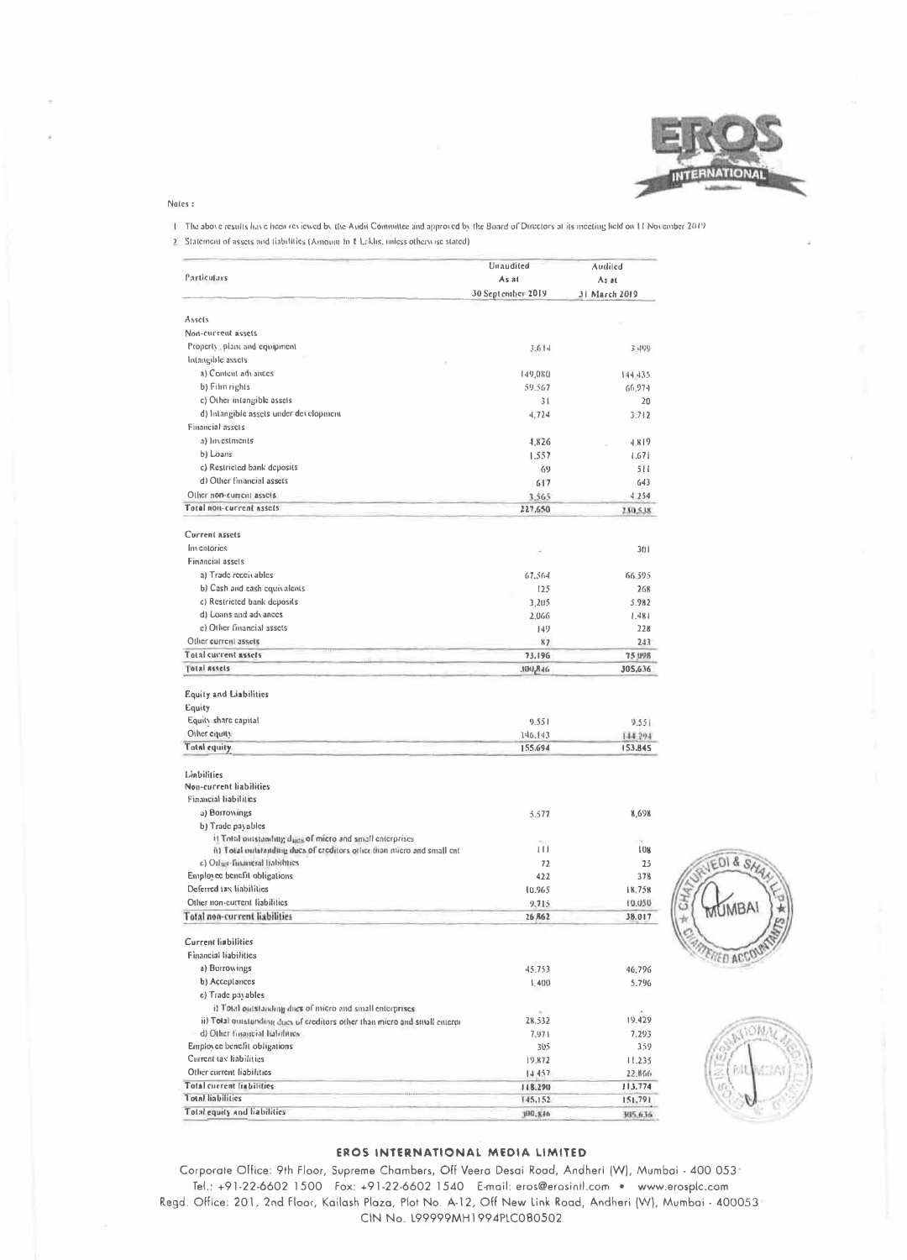

Notes:

1) The above results have been reviewed by the Audit Committee and approved by the Board of Directors at its meeting held on 11 November 2019

2 Statement of assets and liabilities (Amount In § Lakhs, unless otherwise stated)

|                                                                             | Unaudited                     | Audited          |  |
|-----------------------------------------------------------------------------|-------------------------------|------------------|--|
| Particulars                                                                 | As at                         | $As$ at          |  |
|                                                                             | 30 September 2019             | 31 March 2019    |  |
|                                                                             |                               |                  |  |
| Assets<br>Non-current assets                                                |                               |                  |  |
| Property, plant and equipment                                               |                               |                  |  |
| Intangible assets                                                           | 3.614                         | 3.499            |  |
| a) Content advances                                                         |                               |                  |  |
| b) Film rights                                                              | 149,080                       | 144.435          |  |
|                                                                             | 59.567                        | 66,974           |  |
| c) Other intangible assets                                                  | 31                            | 20               |  |
| d) Intangible assets under development                                      | 4,724                         | 3.712            |  |
| Financial assets                                                            |                               |                  |  |
| a) hivestments                                                              | 4,826                         | 4.819            |  |
| b) Loans                                                                    | 1.557                         | 1,671            |  |
| c) Restricted bank deposits                                                 | 69                            | 511              |  |
| d) Other financial assets                                                   | 617                           | 643              |  |
| Other non-current assets                                                    | 3.565                         | 4.254            |  |
| Total non-current assets                                                    | 227,650                       | 230,538          |  |
| Current assets                                                              |                               |                  |  |
| Inventories                                                                 |                               | 3(1)             |  |
| Financial assets                                                            |                               |                  |  |
| a) Trade receivables                                                        | 67.564                        | 66.595           |  |
| b) Cash and eash equivalents                                                | 125                           | 268              |  |
| c) Restricted bank deposits                                                 | 3,205                         | 5.982            |  |
| d) Loans and advances                                                       | 2.066                         | 1.481            |  |
| c) Other financial assets                                                   | 149                           | 228              |  |
| Other current assets                                                        | x7                            | 243              |  |
| Total current assets                                                        | 73,196                        | 75.098           |  |
| <b>Total assets</b>                                                         | $31-8,001$ .                  | 305.636          |  |
| Equity and Liabilities<br>Equity<br>Equity share capital<br>Other counts    | 9.551<br>146.143              | 9.551<br>144.294 |  |
| <b>Total equity</b>                                                         | 155.694                       | 153.845          |  |
| Liabilities                                                                 |                               |                  |  |
| Non-current liabilities                                                     |                               |                  |  |
| <b>Financial liabilities</b>                                                |                               |                  |  |
| a) Borrowings                                                               | 5.577                         | 8,698            |  |
| b) Trade payables                                                           |                               |                  |  |
| il Total outstanding dairs of micro and small enterprises                   | $\mathcal{H}_{\mathcal{F}}$ . |                  |  |
| ii) Total mitstanding dues of creditors other than micro and small ent      | $\left  \cdot \right $        | 108              |  |
| c) Other futuotral habilities.                                              | 72                            | 25               |  |
| Employee benefit obligations                                                | 422                           | 378              |  |
| Deferred tax liabilities                                                    | 10.965                        | 18.758           |  |
| Other non-current liabilities                                               | 9.715                         | 19,050           |  |
| Total non-current liabilities                                               | 26.R62                        | 38.017           |  |
| <b>Current liabilitics</b>                                                  |                               |                  |  |
| Financial liabilities                                                       |                               |                  |  |
| a) Borrowings                                                               | 45.753                        | 46,796           |  |
| b) Acceptances                                                              | 1.4(1)                        | 5.796            |  |
| c) Trade pavables                                                           |                               |                  |  |
| i) Total outstanding dues of micro and small enterprises                    |                               |                  |  |
| ii) Total quistanding dues of creditors other than micro and small enterpi- | w.<br>28.532                  | ×.<br>19,429     |  |
| d) Other financial habilities.                                              | 7.971                         | 7.293            |  |
| Employee benefit obligations                                                | 305                           | 359              |  |
| Current tax liabilities                                                     | 19,872                        | 11.235           |  |
| Other current liabilities                                                   | 14.457                        | 22.866           |  |
| Total current liabilities                                                   | 118.290                       | 113.774          |  |
| <b>Total liabilities</b>                                                    | 145,152                       | 151,791          |  |
| Total equity and liabilities                                                | 100,846                       | 305,636          |  |





### EROS INTERNATIONAL MEDIA LIMITED

Corporate Office: 9th Floor, Supreme Chambers, Off Veera Desai Road, Andheri (W), Mumbai - 400 053 Tel.: +91-22-6602 1500 Fox: +91-22-6602 1540 E-mail: eros@erosintl.com • www.erosplc.com Regd. Office: 201, 2nd Floor, Kailash Plaza, Plot No. A-12, Off New Link Road, Andheri (W), Mumbai - 400053' CIN No. 199999MH1994P1C080502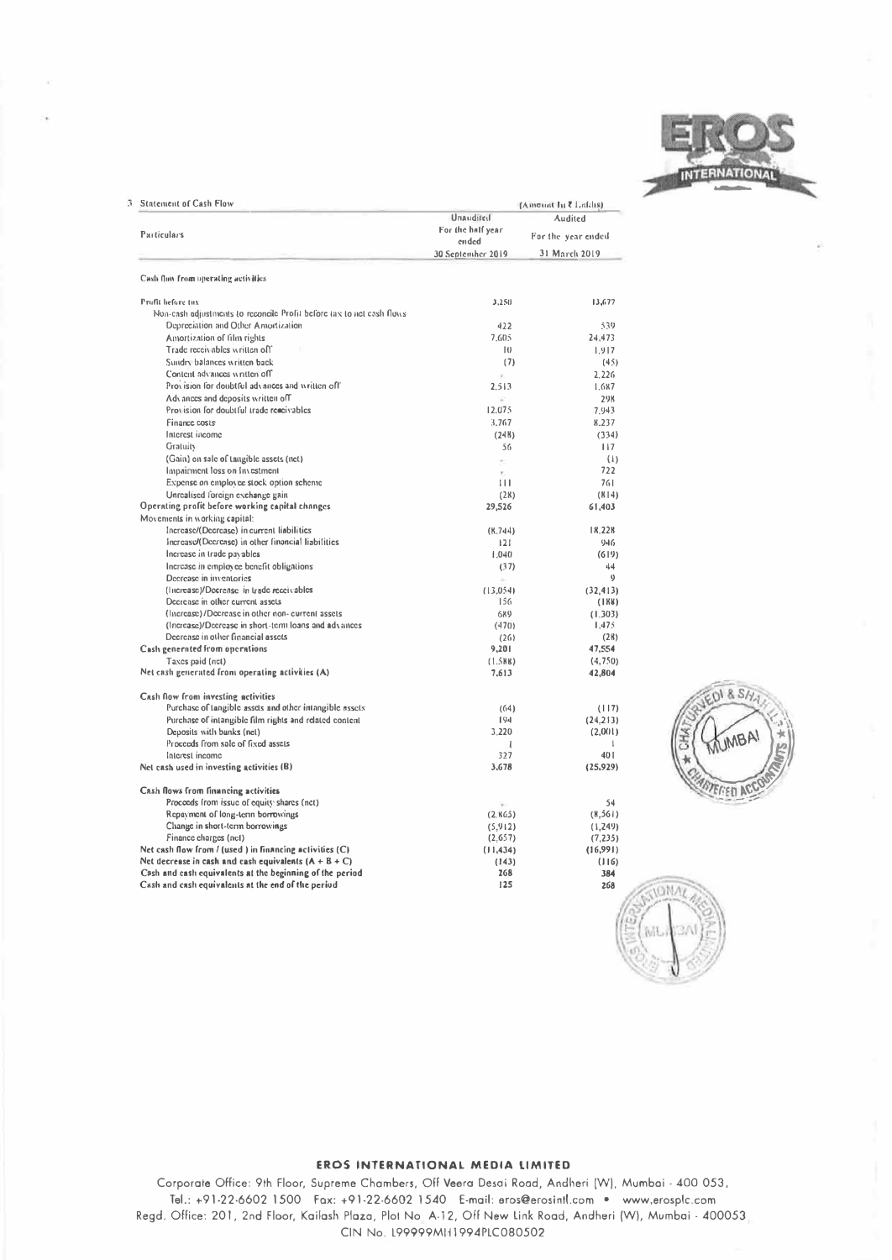

| <b>Statement of Cash Flow</b>                                          | {Amonat In ₹ Latchs)       |                                                |  |  |
|------------------------------------------------------------------------|----------------------------|------------------------------------------------|--|--|
|                                                                        | Unaudited                  | Audited<br>For the year ended<br>31 March 2019 |  |  |
| Particulars                                                            | For the half year<br>ended |                                                |  |  |
|                                                                        | 30 September 2019          |                                                |  |  |
| Cash flow from operating activities                                    |                            |                                                |  |  |
| Profit before tax                                                      | 3.250                      | 13,677                                         |  |  |
| Non-cash adjustments to reconcile Profit before tax to net cash flows. |                            |                                                |  |  |
| Depreciation and Other Amortization                                    | 422                        | 539                                            |  |  |
| Amortization of film rights                                            | 7.605                      | 24.473                                         |  |  |
| Trade receivables written off                                          | $\vert \vert$              | 1.917                                          |  |  |
| Sundry balances written back                                           | (7)                        | (45)                                           |  |  |
| Content advances written off                                           | ×.                         | 2.226                                          |  |  |
| Provision for doubtful advances and written off                        | 2.513                      | 1.687                                          |  |  |
| Advances and deposits written off                                      | V.                         | <b>29K</b>                                     |  |  |
| Provision for doubtful trade reacivables                               | 12.075                     | 7.943                                          |  |  |
| Finance costs                                                          | 3.767                      | 8.237                                          |  |  |
| Interest income                                                        | (24B)                      | (334)                                          |  |  |
| Gratuity                                                               | 56                         | 117                                            |  |  |
| (Gain) on sale of tangible assets (net)                                | $\alpha$                   | (1)                                            |  |  |
| Impairment loss on Investment                                          | ÷.                         | 722                                            |  |  |
| Expense on employee stock option scheme                                | 111                        | 761                                            |  |  |
| Unrealised foreign exchange gain                                       | (28)                       | (K   4)                                        |  |  |
| Operating profit before working capital changes                        | 29,526                     | 61.403                                         |  |  |
| Movements in working capital:                                          |                            |                                                |  |  |
| Increase/(Decrease) in current liabilities                             | (K, 744)                   | 18.228                                         |  |  |
| Increase/(Decrease) in other financial liabilities                     | 121                        | 946                                            |  |  |
| Increase in trade pavables                                             | 1.040                      | (619)                                          |  |  |
| Increase in employee benefit obligations                               | (37)                       | 44                                             |  |  |
| Decrease in inventories                                                |                            | $\eta$                                         |  |  |
| (Increase)/Decrease in trade receivables                               | (13.054)                   | (32, 413)                                      |  |  |
| Decrease in other current assets                                       | 156                        | (188)                                          |  |  |
| (Increase)/Decrease in other non- current assets                       | 689                        | (1.303)                                        |  |  |
| (Increase)/Decrease in short-term loans and advances                   | (470)                      | 1,475                                          |  |  |
| Decrease in other financial assets                                     | (26)                       | (28)                                           |  |  |
| Cash generated from operations                                         | 9,201                      | 47,554                                         |  |  |
| Taxes paid (net)                                                       | $(1.5$ HB)                 | (4,750)                                        |  |  |
| Net cash generated from operating activities (A)                       | 7.613                      | 42,804                                         |  |  |
| Cash flow from investing activities                                    |                            |                                                |  |  |
| Purchase of tangible assets and other intangible assets                | (64)                       | (117)                                          |  |  |
| Purchase of intangible film rights and related content                 | 194                        | (24.213)                                       |  |  |
| Deposits with banks (net)                                              | 3 2 2 0                    | (2,001)                                        |  |  |
| Proceeds from sale of fixed assets                                     | ı                          | $\mathbf{I}$                                   |  |  |
| Interest income                                                        | 327                        | 40 1                                           |  |  |
| Net cash used in investing activities (B)                              | 3.678                      | (25,929)                                       |  |  |
| Cash flows from financing activities                                   |                            |                                                |  |  |
| Proceeds from issue of equity shares (net)                             | ÷                          | 54                                             |  |  |
| Repayment of long-term borrowings                                      | (2.865)                    | (X, 56)                                        |  |  |
| Change in short-term borrowings                                        | (5,912)                    | (1,249)                                        |  |  |
| Finance charges (net)                                                  | (2,657)                    | (7, 235)                                       |  |  |
| Net cash flow from / (used ) in financing activities (C)               | (11, 434)                  | (16,991)                                       |  |  |
| Net decrease in cash and cash equivalents $(A + B + C)$                | (143)                      | (116)                                          |  |  |
| Cash and cash equivalents at the beginning of the period               | 268                        | 384                                            |  |  |
| Cash and cash equivalents at the end of the period                     | 125                        | 268                                            |  |  |



# **JONA** ML 70.A

### EROS INTERNATIONAL MEDIA LIMITED

Corporate Office: 9th Floor, Supreme Chambers, Off Veera Desai Road, Andheri (W), Mumbai - 400 053, Tel.: +91-22-6602 1500 Fax: +91-22-6602 1540 E-mail: eros@erosintl.com . www.erosplc.com Regd. Office: 201, 2nd Floor, Kailash Plaza, Plot No. A-12, Off New Link Road, Andheri (W), Mumbai - 400053 CIN No. 199999MH1994PLC080502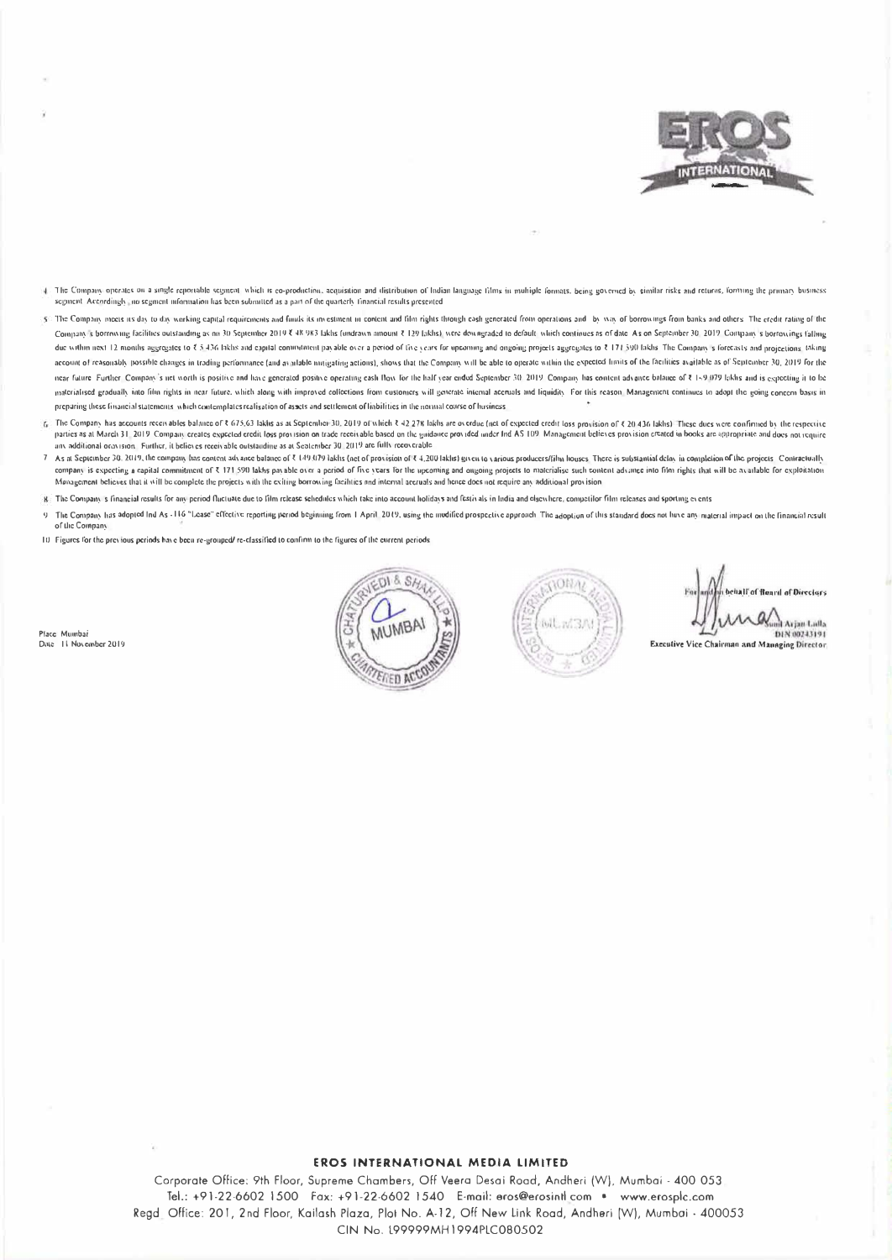

- a The Company operates on a single reportable segment which is co-production, acquisition and distribution of Indian language films in multiple formats, being governed by similar risks and returns, forming the primary busi segment. Accordingly, no segment information has been submitted as a part of the quarterly financial results presented
- 5. The Company meets us day to day working capital requirements and funds its my estment on content and film rights through cash generated from operations and by way of borrowings from banks and others. The credit rating o Company's borrowing facilities outstanding as an 30 September 2019 X 48 983 lakis (undrawn amount X 129 lakis), were dewngraded to default which continues as of date. As on September 30, 2019. Company's borrowings falling due within next 12 months aggregates to ₹5.436 fakhs and eaptial commitatent payable over a period of five years for upcaning and origiong projects aggregates to ₹ 171.590 fakhs. The Company's forecasts and projections, ta account of reasonably possible changes in trading performance (and available mitigating actions), shows that the Company will be able to operate within the expected limits of the facilities available as of September 30, 20 near future. Further, Company's net worth is positive and have generated positive operating eash flow for the half year ended September 30, 2019. Company has content advance balance of 14,9,079 lakhs and is expecting it to materialised gradually into film rights in near future, which along with improved collections from customers will generate intental accruals and liquidity. For this reason. Management continues to adopt the group concern b preparing these financial statements, which contemplates realisation of assets and settlement of liabilities in the nontral course of husiness.
- 6 The Company has accounts receivables balance of ₹ 675.63 lakhs as at September 30, 2019 of which ₹ 42.27% lakhs are overdue (net of expected credit loss provision of ₹ 20.436 lakhs) These dues were confirmed by the respe parties as at March 31, 2019. Company creates expected credit loss provision on trade receivable based on the guidance provided under Ind AS 109. Management believes provision created in books are appropriate and does not any additional oray (sion). Further, it believes receivable outstanding as at September 30, 2019 are fully recoverable
- 7 As at September 30, 2019, the company has content advance balance of ₹ 149.079 lakits (net of provision of ₹ 4.200 lakits) given to various producers/film houses. There is substantial delay in completion of the projects. company is expecting a capital commitment of ₹ 171,590 lakhs payable over a period of five years for the upcoming and ougoing projects to materialise such content advance into film rights that will be available for exploit Management believes that it will be complete the projects with the exiting borrowing facilities and internal accruals and hence does not require any additional provision
- 8. The Company's financial results for any period fluctuate due to film release schedules which take into account holidays and festivals in India and elsewhere, competitor film releases and sporting events
- 9 The Company has adopted Ind As -116 "Lease" effective reporting period beginning from 1 April 2019, using the modified prospective approach. The adoption of this standard does not have any material impact on the financia of the Company
- 10 Figures for the previous periods have been re-grouped/re-classified to confirm to the figures of the current periods

Place Mumbai Date II November 2019





If of Board of Directors Avian Lalla DIN 00243191 **Executive Vice Chairman and Managing Director** 

#### EROS INTERNATIONAL MEDIA LIMITED

Corporate Office: 9th Floor, Supreme Chambers, Off Veera Desai Road, Andheri (W), Mumbai - 400 053 Tel.: +91-22-6602 1500 Fax: +91-22-6602 1540 E-mail: eros@erosintl.com · www.erosplc.com Regd. Office: 201, 2nd Floor, Kailash Plaza, Plot No. A-12, Off New Link Road, Andheri [W), Mumbai - 400053 CIN No. 199999MH1994PLC080502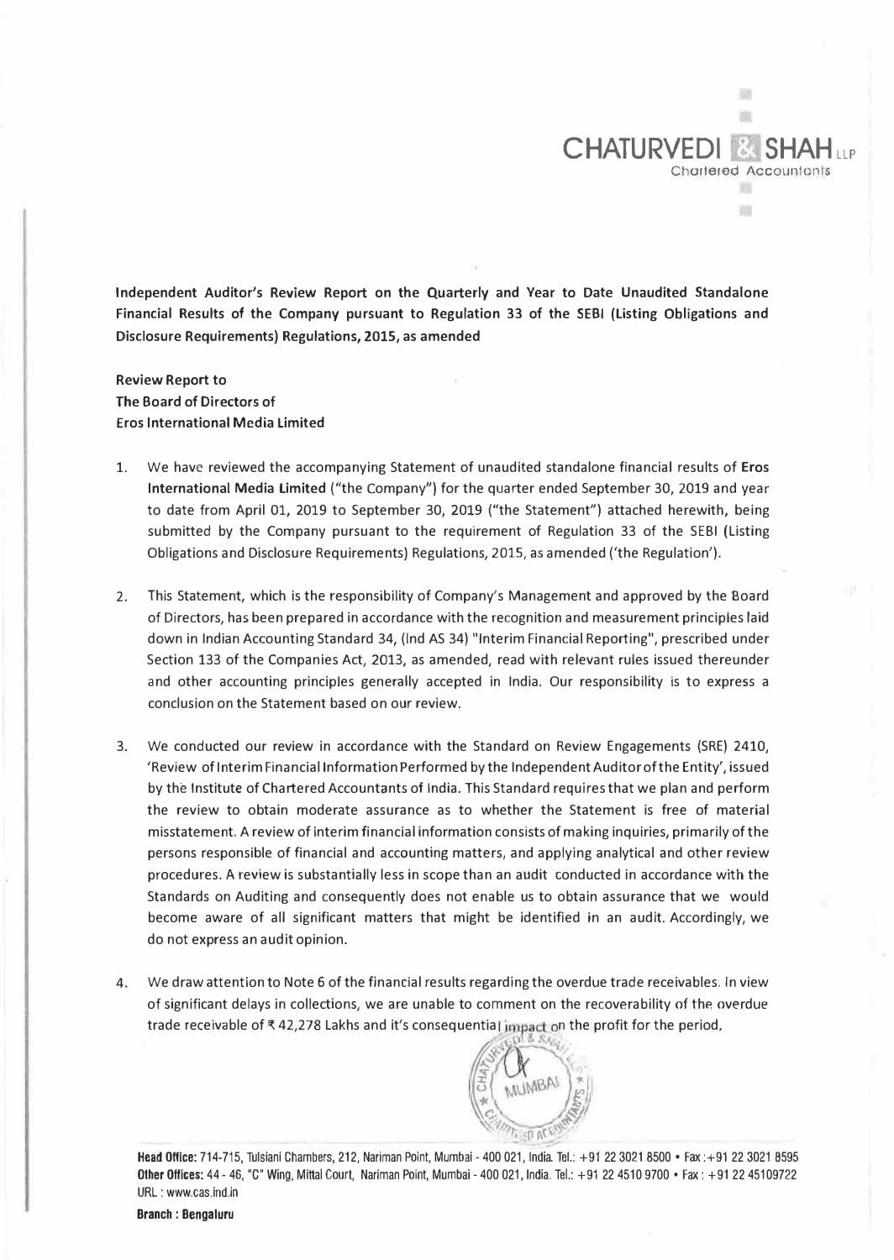**Independent Auditor's Review Report on the Quarterly and Year to Date Unaudited Standalone Financial Results of the Company pursuant to Regulation 33 of the SEBI (Listing Obligations and Disclosure Requirements) Regulations, 2015, as amended** 

**CHATURVEDI &** 

Chartered Accountants

ш m

斷 m

**Review Report to The Board of Directors of Eros International Media Limited** 

- 1. We have reviewed the accompanying Statement of unaudited standalone financial results of **Eros International Media Limited** ("the Company") for the quarter ended September 30, 2019 and year to date from April 01, 2019 to September 30, 2019 ("the Statement") attached herewith, being submitted by the Company pursuant to the requirement of Regulation 33 of the SEBI (Listing Obligations and Disclosure Requirements) Regulations, 2015, as amended ('the Regulation').
- 2. This Statement, which is the responsibility of Company's Management and approved by the Board of Directors, has been prepared in accordance with the recognition and measurement principles laid down in Indian Accounting Standard 34, (Ind AS 34) "Interim Financial Reporting", prescribed under Section 133 of the Companies Act, 2013, as amended, read with relevant rules issued thereunder and other accounting principles generally accepted in India. Our responsibility is to express a conclusion on the Statement based on our review.
- 3. We conducted our review in accordance with the Standard on Review Engagements (SRE) 2410, 'Review of Interim Financial Information Performed by the Independent Auditor of the Entity', issued by the Institute of Chartered Accountants of India. This Standard requires that we plan and perform the review to obtain moderate assurance as to whether the Statement is free of material misstatement, A review of interim financial information consists of making inquiries, primarily of the persons responsible of financial and accounting matters, and applying analytical and other review procedures. A review is substantially less in scope than an audit conducted in accordance with the Standards on Auditing and consequently does not enable us to obtain assurance that we would become aware of all significant matters that might be identified in an audit. Accordingly, we do not express an audit opinion.
- 4. We draw attention to Note 6 of the financial results regarding the overdue trade receivables. In view of significant delays in collections, we are unable to comment on the recoverability of the overdue trade receivable of  $*$  42,278 Lakhs and it's consequential impact on the profit for the period,

**Head Office:** 714-715, Tulsiani Chambers, 212, Nariman Point, Mumbai - 400 021, India. Tel.: +91 22 3021 8500 • Fax :+91 22 3021 8595 **Other Offices:** 44 - 46, "C" Wing, Mittal Court, Nariman Point, Mumbai - 400 021, India. Tel.: +91 22 4510 9700 • Fax: +91 22 45109722 URL : www.cas.ind.in

The Country of the Country  $\mathbf{I} \cup \mathbf{I}$ 

**MUMBAI**